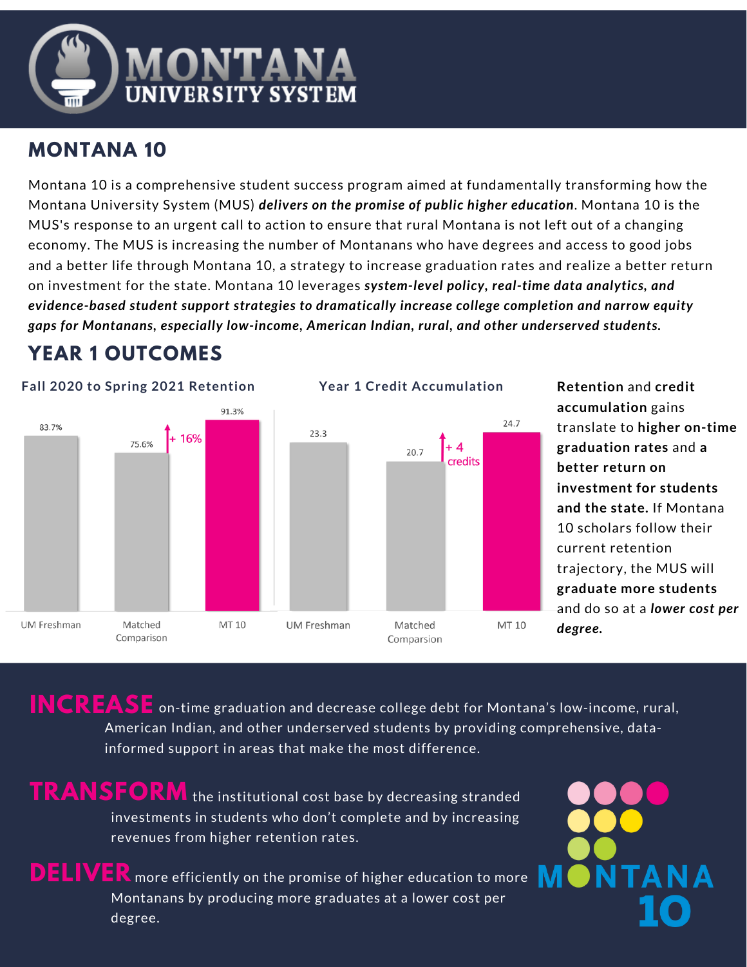

# **MONTANA 10**

Montana 10 is a comprehensive student success program aimed at fundamentally transforming how the Montana University System (MUS) *delivers on the promise of public higher education*. Montana 10 is the MUS's response to an urgent call to action to ensure that rural Montana is not left out of a changing economy. The MUS is increasing the number of Montanans who have degrees and access to good jobs and a better life through Montana 10, a strategy to increase graduation rates and realize a better return on investment for the state. Montana 10 leverages *system-level policy, real-time data analytics, and evidence-based student support strategies to dramatically increase college completion and narrow equity gaps for Montanans, especially low-income, American Indian, rural, and other underserved students.*

# **YEAR 1 OUTCOMES**



**Retention** and **credit accumulation** gains translate to **higher on-time graduation rates** and **a better return on investment for students and the state.** If Montana 10 scholars follow their current retention trajectory, the MUS will **graduate more students** and do so at a *lower cost per degree.*

 $\textbf{INCREASE}$  on-time graduation and decrease college debt for Montana's low-income, rural, American Indian, and other underserved students by providing comprehensive, datainformed support in areas that make the most difference.

**TRANSFORM** the institutional cost base by decreasing stranded investments in students who don't complete and by increasing revenues from higher retention rates.

**DELIVER** more efficiently on the promise of higher education to more Montanans by producing more graduates at a lower cost per degree.